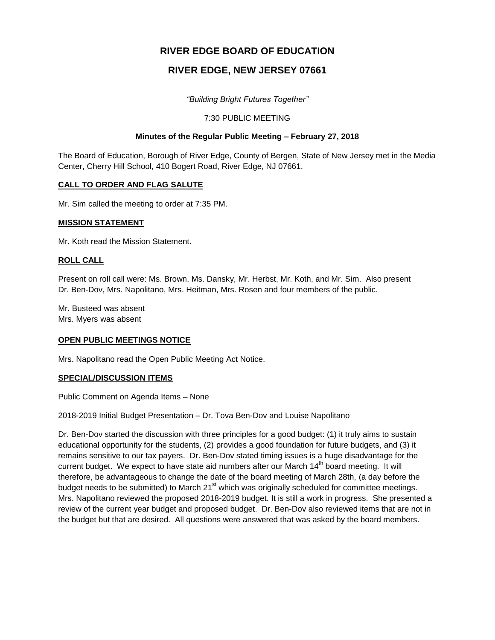# **RIVER EDGE BOARD OF EDUCATION**

# **RIVER EDGE, NEW JERSEY 07661**

*"Building Bright Futures Together"*

# 7:30 PUBLIC MEETING

# **Minutes of the Regular Public Meeting – February 27, 2018**

The Board of Education, Borough of River Edge, County of Bergen, State of New Jersey met in the Media Center, Cherry Hill School, 410 Bogert Road, River Edge, NJ 07661.

# **CALL TO ORDER AND FLAG SALUTE**

Mr. Sim called the meeting to order at 7:35 PM.

## **MISSION STATEMENT**

Mr. Koth read the Mission Statement.

# **ROLL CALL**

Present on roll call were: Ms. Brown, Ms. Dansky, Mr. Herbst, Mr. Koth, and Mr. Sim. Also present Dr. Ben-Dov, Mrs. Napolitano, Mrs. Heitman, Mrs. Rosen and four members of the public.

Mr. Busteed was absent Mrs. Myers was absent

# **OPEN PUBLIC MEETINGS NOTICE**

Mrs. Napolitano read the Open Public Meeting Act Notice.

# **SPECIAL/DISCUSSION ITEMS**

Public Comment on Agenda Items – None

2018-2019 Initial Budget Presentation – Dr. Tova Ben-Dov and Louise Napolitano

Dr. Ben-Dov started the discussion with three principles for a good budget: (1) it truly aims to sustain educational opportunity for the students, (2) provides a good foundation for future budgets, and (3) it remains sensitive to our tax payers. Dr. Ben-Dov stated timing issues is a huge disadvantage for the current budget. We expect to have state aid numbers after our March 14<sup>th</sup> board meeting. It will therefore, be advantageous to change the date of the board meeting of March 28th, (a day before the budget needs to be submitted) to March 21<sup>st</sup> which was originally scheduled for committee meetings. Mrs. Napolitano reviewed the proposed 2018-2019 budget. It is still a work in progress. She presented a review of the current year budget and proposed budget. Dr. Ben-Dov also reviewed items that are not in the budget but that are desired. All questions were answered that was asked by the board members.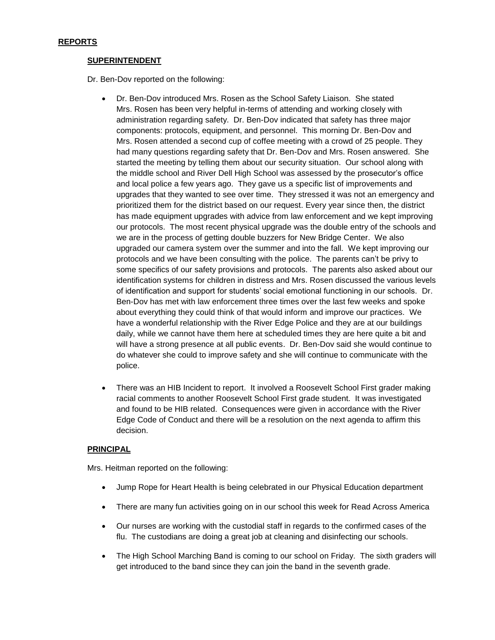# **SUPERINTENDENT**

Dr. Ben-Dov reported on the following:

- Dr. Ben-Dov introduced Mrs. Rosen as the School Safety Liaison. She stated Mrs. Rosen has been very helpful in-terms of attending and working closely with administration regarding safety. Dr. Ben-Dov indicated that safety has three major components: protocols, equipment, and personnel. This morning Dr. Ben-Dov and Mrs. Rosen attended a second cup of coffee meeting with a crowd of 25 people. They had many questions regarding safety that Dr. Ben-Dov and Mrs. Rosen answered. She started the meeting by telling them about our security situation. Our school along with the middle school and River Dell High School was assessed by the prosecutor's office and local police a few years ago. They gave us a specific list of improvements and upgrades that they wanted to see over time. They stressed it was not an emergency and prioritized them for the district based on our request. Every year since then, the district has made equipment upgrades with advice from law enforcement and we kept improving our protocols. The most recent physical upgrade was the double entry of the schools and we are in the process of getting double buzzers for New Bridge Center. We also upgraded our camera system over the summer and into the fall. We kept improving our protocols and we have been consulting with the police. The parents can't be privy to some specifics of our safety provisions and protocols. The parents also asked about our identification systems for children in distress and Mrs. Rosen discussed the various levels of identification and support for students' social emotional functioning in our schools. Dr. Ben-Dov has met with law enforcement three times over the last few weeks and spoke about everything they could think of that would inform and improve our practices. We have a wonderful relationship with the River Edge Police and they are at our buildings daily, while we cannot have them here at scheduled times they are here quite a bit and will have a strong presence at all public events. Dr. Ben-Dov said she would continue to do whatever she could to improve safety and she will continue to communicate with the police.
- There was an HIB Incident to report. It involved a Roosevelt School First grader making racial comments to another Roosevelt School First grade student. It was investigated and found to be HIB related. Consequences were given in accordance with the River Edge Code of Conduct and there will be a resolution on the next agenda to affirm this decision.

#### **PRINCIPAL**

Mrs. Heitman reported on the following:

- Jump Rope for Heart Health is being celebrated in our Physical Education department
- There are many fun activities going on in our school this week for Read Across America
- Our nurses are working with the custodial staff in regards to the confirmed cases of the flu. The custodians are doing a great job at cleaning and disinfecting our schools.
- The High School Marching Band is coming to our school on Friday. The sixth graders will get introduced to the band since they can join the band in the seventh grade.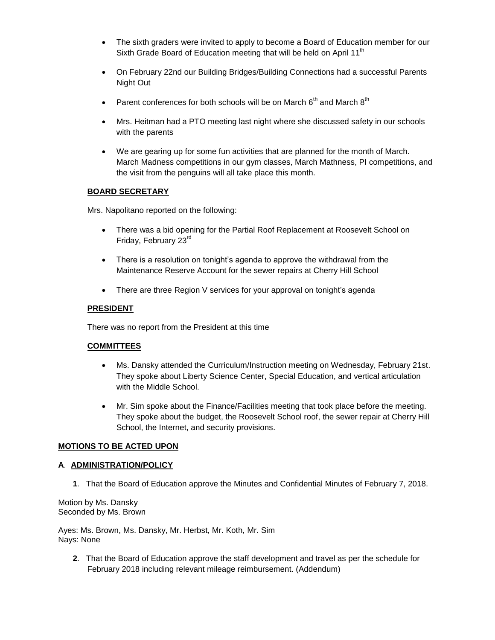- The sixth graders were invited to apply to become a Board of Education member for our Sixth Grade Board of Education meeting that will be held on April 11<sup>th</sup>
- On February 22nd our Building Bridges/Building Connections had a successful Parents Night Out
- Parent conferences for both schools will be on March  $6<sup>th</sup>$  and March  $8<sup>th</sup>$
- Mrs. Heitman had a PTO meeting last night where she discussed safety in our schools with the parents
- We are gearing up for some fun activities that are planned for the month of March. March Madness competitions in our gym classes, March Mathness, PI competitions, and the visit from the penguins will all take place this month.

# **BOARD SECRETARY**

Mrs. Napolitano reported on the following:

- There was a bid opening for the Partial Roof Replacement at Roosevelt School on Friday, February 23rd
- There is a resolution on tonight's agenda to approve the withdrawal from the Maintenance Reserve Account for the sewer repairs at Cherry Hill School
- There are three Region V services for your approval on tonight's agenda

## **PRESIDENT**

There was no report from the President at this time

#### **COMMITTEES**

- Ms. Dansky attended the Curriculum/Instruction meeting on Wednesday, February 21st. They spoke about Liberty Science Center, Special Education, and vertical articulation with the Middle School.
- Mr. Sim spoke about the Finance/Facilities meeting that took place before the meeting. They spoke about the budget, the Roosevelt School roof, the sewer repair at Cherry Hill School, the Internet, and security provisions.

# **MOTIONS TO BE ACTED UPON**

#### **A**. **ADMINISTRATION/POLICY**

**1**. That the Board of Education approve the Minutes and Confidential Minutes of February 7, 2018.

Motion by Ms. Dansky Seconded by Ms. Brown

Ayes: Ms. Brown, Ms. Dansky, Mr. Herbst, Mr. Koth, Mr. Sim Nays: None

**2**. That the Board of Education approve the staff development and travel as per the schedule for February 2018 including relevant mileage reimbursement. (Addendum)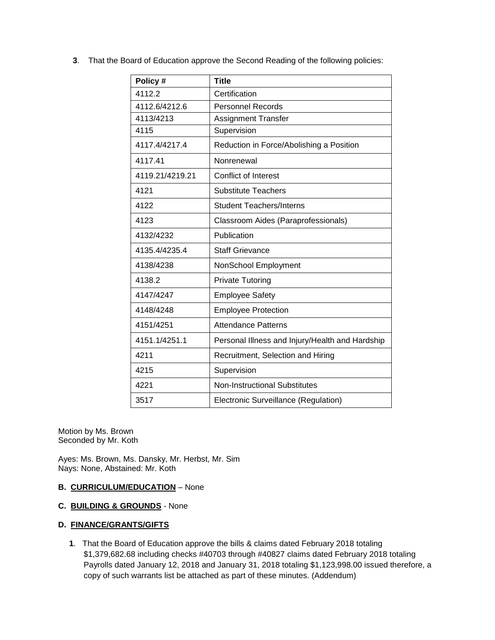**3**. That the Board of Education approve the Second Reading of the following policies:

| Policy #        | <b>Title</b>                                    |
|-----------------|-------------------------------------------------|
| 4112.2          | Certification                                   |
| 4112.6/4212.6   | <b>Personnel Records</b>                        |
| 4113/4213       | <b>Assignment Transfer</b>                      |
| 4115            | Supervision                                     |
| 4117.4/4217.4   | Reduction in Force/Abolishing a Position        |
| 4117.41         | Nonrenewal                                      |
| 4119.21/4219.21 | Conflict of Interest                            |
| 4121            | <b>Substitute Teachers</b>                      |
| 4122            | <b>Student Teachers/Interns</b>                 |
| 4123            | Classroom Aides (Paraprofessionals)             |
| 4132/4232       | Publication                                     |
| 4135.4/4235.4   | <b>Staff Grievance</b>                          |
| 4138/4238       | NonSchool Employment                            |
| 4138.2          | <b>Private Tutoring</b>                         |
| 4147/4247       | <b>Employee Safety</b>                          |
| 4148/4248       | <b>Employee Protection</b>                      |
| 4151/4251       | <b>Attendance Patterns</b>                      |
| 4151.1/4251.1   | Personal Illness and Injury/Health and Hardship |
| 4211            | Recruitment, Selection and Hiring               |
| 4215            | Supervision                                     |
| 4221            | <b>Non-Instructional Substitutes</b>            |
| 3517            | Electronic Surveillance (Regulation)            |

Motion by Ms. Brown Seconded by Mr. Koth

Ayes: Ms. Brown, Ms. Dansky, Mr. Herbst, Mr. Sim Nays: None, Abstained: Mr. Koth

# **B. CURRICULUM/EDUCATION** – None

**C. BUILDING & GROUNDS** - None

# **D. FINANCE/GRANTS/GIFTS**

**1**. That the Board of Education approve the bills & claims dated February 2018 totaling \$1,379,682.68 including checks #40703 through #40827 claims dated February 2018 totaling Payrolls dated January 12, 2018 and January 31, 2018 totaling \$1,123,998.00 issued therefore, a copy of such warrants list be attached as part of these minutes. (Addendum)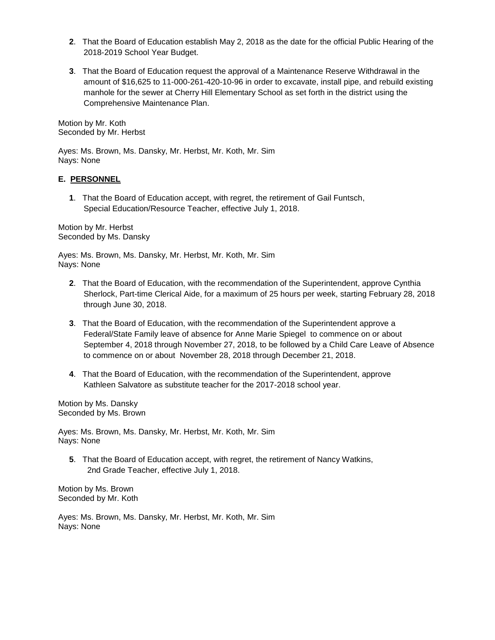- **2**. That the Board of Education establish May 2, 2018 as the date for the official Public Hearing of the 2018-2019 School Year Budget.
- **3**. That the Board of Education request the approval of a Maintenance Reserve Withdrawal in the amount of \$16,625 to 11-000-261-420-10-96 in order to excavate, install pipe, and rebuild existing manhole for the sewer at Cherry Hill Elementary School as set forth in the district using the Comprehensive Maintenance Plan.

Motion by Mr. Koth Seconded by Mr. Herbst

Ayes: Ms. Brown, Ms. Dansky, Mr. Herbst, Mr. Koth, Mr. Sim Nays: None

## **E. PERSONNEL**

**1**. That the Board of Education accept, with regret, the retirement of Gail Funtsch, Special Education/Resource Teacher, effective July 1, 2018.

Motion by Mr. Herbst Seconded by Ms. Dansky

Ayes: Ms. Brown, Ms. Dansky, Mr. Herbst, Mr. Koth, Mr. Sim Nays: None

- **2**. That the Board of Education, with the recommendation of the Superintendent, approve Cynthia Sherlock, Part-time Clerical Aide, for a maximum of 25 hours per week, starting February 28, 2018 through June 30, 2018.
- **3**. That the Board of Education, with the recommendation of the Superintendent approve a Federal/State Family leave of absence for Anne Marie Spiegel to commence on or about September 4, 2018 through November 27, 2018, to be followed by a Child Care Leave of Absence to commence on or about November 28, 2018 through December 21, 2018.
- **4**. That the Board of Education, with the recommendation of the Superintendent, approve Kathleen Salvatore as substitute teacher for the 2017-2018 school year.

Motion by Ms. Dansky Seconded by Ms. Brown

Ayes: Ms. Brown, Ms. Dansky, Mr. Herbst, Mr. Koth, Mr. Sim Nays: None

**5**. That the Board of Education accept, with regret, the retirement of Nancy Watkins, 2nd Grade Teacher, effective July 1, 2018.

Motion by Ms. Brown Seconded by Mr. Koth

Ayes: Ms. Brown, Ms. Dansky, Mr. Herbst, Mr. Koth, Mr. Sim Nays: None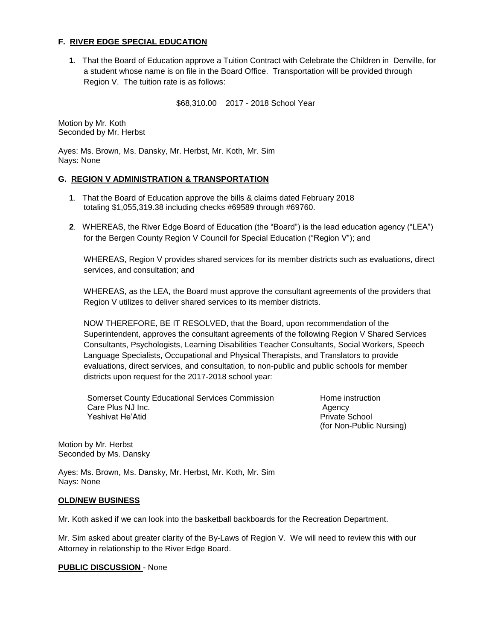## **F. RIVER EDGE SPECIAL EDUCATION**

**1**. That the Board of Education approve a Tuition Contract with Celebrate the Children in Denville, for a student whose name is on file in the Board Office. Transportation will be provided through Region V. The tuition rate is as follows:

\$68,310.00 2017 - 2018 School Year

Motion by Mr. Koth Seconded by Mr. Herbst

Ayes: Ms. Brown, Ms. Dansky, Mr. Herbst, Mr. Koth, Mr. Sim Nays: None

#### **G. REGION V ADMINISTRATION & TRANSPORTATION**

- **1**. That the Board of Education approve the bills & claims dated February 2018 totaling \$1,055,319.38 including checks #69589 through #69760.
- **2**. WHEREAS, the River Edge Board of Education (the "Board") is the lead education agency ("LEA") for the Bergen County Region V Council for Special Education ("Region V"); and

WHEREAS, Region V provides shared services for its member districts such as evaluations, direct services, and consultation; and

WHEREAS, as the LEA, the Board must approve the consultant agreements of the providers that Region V utilizes to deliver shared services to its member districts.

NOW THEREFORE, BE IT RESOLVED, that the Board, upon recommendation of the Superintendent, approves the consultant agreements of the following Region V Shared Services Consultants, Psychologists, Learning Disabilities Teacher Consultants, Social Workers, Speech Language Specialists, Occupational and Physical Therapists, and Translators to provide evaluations, direct services, and consultation, to non-public and public schools for member districts upon request for the 2017-2018 school year:

Somerset County Educational Services Commission Frame instruction Care Plus NJ Inc. **Agency Care Plus NJ Inc.** Agency Yeshivat He'Atid **Private School** Private School

(for Non-Public Nursing)

Motion by Mr. Herbst Seconded by Ms. Dansky

Ayes: Ms. Brown, Ms. Dansky, Mr. Herbst, Mr. Koth, Mr. Sim Nays: None

#### **OLD/NEW BUSINESS**

Mr. Koth asked if we can look into the basketball backboards for the Recreation Department.

Mr. Sim asked about greater clarity of the By-Laws of Region V. We will need to review this with our Attorney in relationship to the River Edge Board.

#### **PUBLIC DISCUSSION** - None